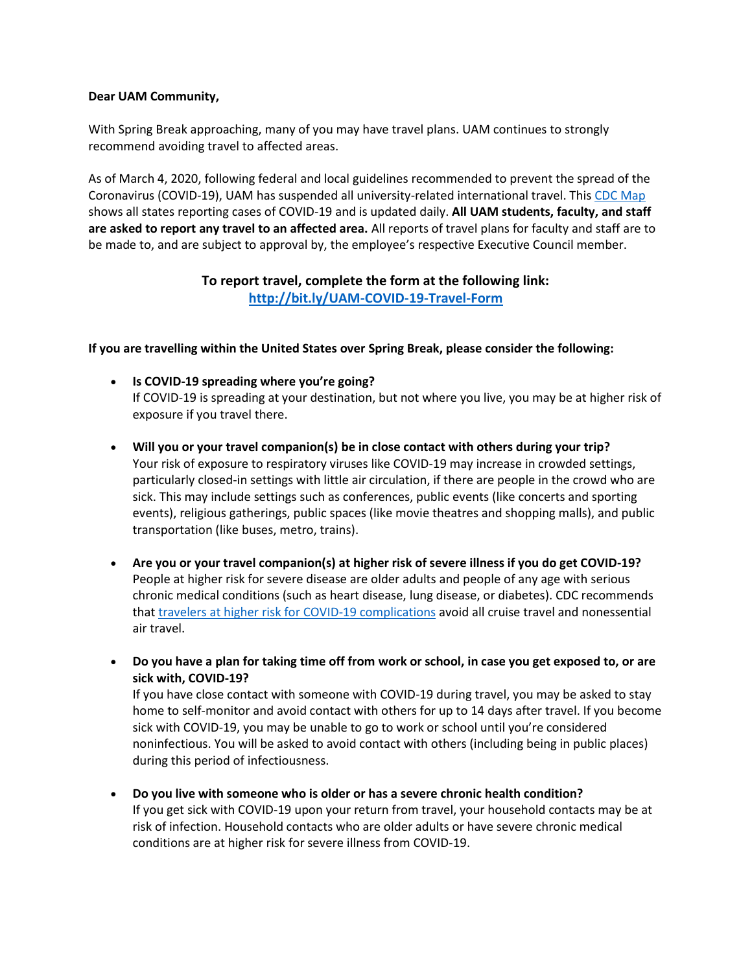## **Dear UAM Community,**

With Spring Break approaching, many of you may have travel plans. UAM continues to strongly recommend avoiding travel to affected areas.

As of March 4, 2020, following federal and local guidelines recommended to prevent the spread of the Coronavirus (COVID-19), UAM has suspended all university-related international travel. This [CDC Map](https://www.cdc.gov/coronavirus/2019-ncov/cases-in-us.html) shows all states reporting cases of COVID-19 and is updated daily. **All UAM students, faculty, and staff are asked to report any travel to an affected area.** All reports of travel plans for faculty and staff are to be made to, and are subject to approval by, the employee's respective Executive Council member.

## **To report travel, complete the form at the following link: <http://bit.ly/UAM-COVID-19-Travel-Form>**

**If you are travelling within the United States over Spring Break, please consider the following:**

- **Is COVID-19 spreading where you're going?** If COVID-19 is spreading at your destination, but not where you live, you may be at higher risk of exposure if you travel there.
- **Will you or your travel companion(s) be in close contact with others during your trip?** Your risk of exposure to respiratory viruses like COVID-19 may increase in crowded settings, particularly closed-in settings with little air circulation, if there are people in the crowd who are sick. This may include settings such as conferences, public events (like concerts and sporting events), religious gatherings, public spaces (like movie theatres and shopping malls), and public transportation (like buses, metro, trains).
- **Are you or your travel companion(s) at higher risk of severe illness if you do get COVID-19?** People at higher risk for severe disease are older adults and people of any age with serious chronic medical conditions (such as heart disease, lung disease, or diabetes). CDC recommends that [travelers at higher risk for COVID-19 complications](https://www.cdc.gov/coronavirus/2019-ncov/specific-groups/high-risk-complications.html) avoid all cruise travel and nonessential air travel.
- **Do you have a plan for taking time off from work or school, in case you get exposed to, or are sick with, COVID-19?**

If you have close contact with someone with COVID-19 during travel, you may be asked to stay home to self-monitor and avoid contact with others for up to 14 days after travel. If you become sick with COVID-19, you may be unable to go to work or school until you're considered noninfectious. You will be asked to avoid contact with others (including being in public places) during this period of infectiousness.

 **Do you live with someone who is older or has a severe chronic health condition?** If you get sick with COVID-19 upon your return from travel, your household contacts may be at risk of infection. Household contacts who are older adults or have severe chronic medical conditions are at higher risk for severe illness from COVID-19.